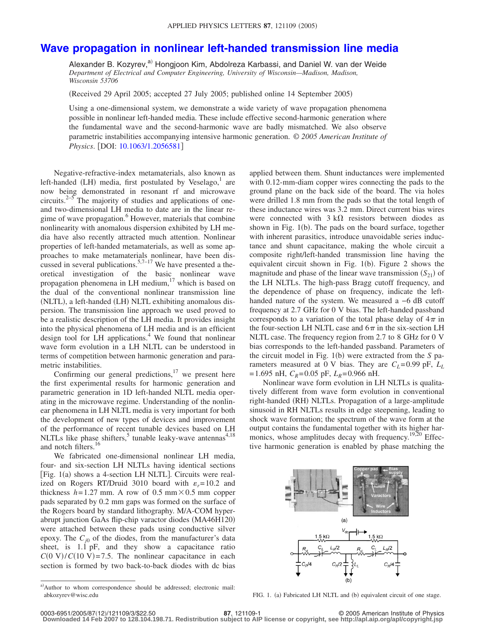## **[Wave propagation in nonlinear left-handed transmission line media](http://dx.doi.org/10.1063/1.2056581)**

Alexander B. Kozyrev,<sup>a)</sup> Hongjoon Kim, Abdolreza Karbassi, and Daniel W. van der Weide *Department of Electrical and Computer Engineering, University of Wisconsin—Madison, Madison, Wisconsin 53706*

Received 29 April 2005; accepted 27 July 2005; published online 14 September 2005-

Using a one-dimensional system, we demonstrate a wide variety of wave propagation phenomena possible in nonlinear left-handed media. These include effective second-harmonic generation where the fundamental wave and the second-harmonic wave are badly mismatched. We also observe parametric instabilities accompanying intensive harmonic generation. © *2005 American Institute of Physics*. [DOI: [10.1063/1.2056581](http://dx.doi.org/10.1063/1.2056581)]

Negative-refractive-index metamaterials, also known as left-handed (LH) media, first postulated by Veselago,<sup>1</sup> are now being demonstrated in resonant rf and microwave circuits.<sup>2–5</sup> The majority of studies and applications of oneand two-dimensional LH media to date are in the linear regime of wave propagation.<sup>6</sup> However, materials that combine nonlinearity with anomalous dispersion exhibited by LH media have also recently attracted much attention. Nonlinear properties of left-handed metamaterials, as well as some approaches to make metamaterials nonlinear, have been discussed in several publications.<sup>5,7–17</sup> We have presented a theoretical investigation of the basic nonlinear wave propagation phenomena in LH medium, $17$  which is based on the dual of the conventional nonlinear transmission line (NLTL), a left-handed (LH) NLTL exhibiting anomalous dispersion. The transmission line approach we used proved to be a realistic description of the LH media. It provides insight into the physical phenomena of LH media and is an efficient design tool for  $LH$  applications.<sup>4</sup> We found that nonlinear wave form evolution in a LH NLTL can be understood in terms of competition between harmonic generation and parametric instabilities.

Confirming our general predictions, $17$  we present here the first experimental results for harmonic generation and parametric generation in 1D left-handed NLTL media operating in the microwave regime. Understanding of the nonlinear phenomena in LH NLTL media is very important for both the development of new types of devices and improvement of the performance of recent tunable devices based on LH NLTLs like phase shifters,<sup>5</sup> tunable leaky-wave antennas<sup>4,18</sup> and notch filters.<sup>16</sup>

We fabricated one-dimensional nonlinear LH media, four- and six-section LH NLTLs having identical sections [Fig. 1(a) shows a 4-section LH NLTL]. Circuits were realized on Rogers RT/Druid 3010 board with  $\varepsilon_r = 10.2$  and thickness  $h = 1.27$  mm. A row of 0.5 mm  $\times$  0.5 mm copper pads separated by 0.2 mm gaps was formed on the surface of the Rogers board by standard lithography. M/A-COM hyperabrupt junction GaAs flip-chip varactor diodes (MA46H120) were attached between these pads using conductive silver epoxy. The  $C_{i0}$  of the diodes, from the manufacturer's data sheet, is 1.1 pF, and they show a capacitance ratio  $C(0 \text{ V})/C(10 \text{ V}) = 7.5$ . The nonlinear capacitance in each section is formed by two back-to-back diodes with dc bias

a)Author to whom correspondence should be addressed; electronic mail: abkozyrev@wisc.edu

applied between them. Shunt inductances were implemented with 0.12-mm-diam copper wires connecting the pads to the ground plane on the back side of the board. The via holes were drilled 1.8 mm from the pads so that the total length of these inductance wires was 3.2 mm. Direct current bias wires were connected with  $3 k\Omega$  resistors between diodes as shown in Fig. 1(b). The pads on the board surface, together with inherent parasitics, introduce unavoidable series inductance and shunt capacitance, making the whole circuit a composite right/left-handed transmission line having the equivalent circuit shown in Fig.  $1(b)$ . Figure 2 shows the magnitude and phase of the linear wave transmission  $(S_{21})$  of the LH NLTLs. The high-pass Bragg cutoff frequency, and the dependence of phase on frequency, indicate the lefthanded nature of the system. We measured a −6 dB cutoff frequency at 2.7 GHz for 0 V bias. The left-handed passband corresponds to a variation of the total phase delay of  $4\pi$  in the four-section LH NLTL case and  $6\pi$  in the six-section LH NLTL case. The frequency region from 2.7 to 8 GHz for 0 V bias corresponds to the left-handed passband. Parameters of the circuit model in Fig. 1(b) were extracted from the *S* parameters measured at 0 V bias. They are  $C_L$ =0.99 pF,  $L_L$  $= 1.695$  nH,  $C_R = 0.05$  pF,  $L_R = 0.966$  nH.

Nonlinear wave form evolution in LH NLTLs is qualitatively different from wave form evolution in conventional right-handed (RH) NLTLs. Propagation of a large-amplitude sinusoid in RH NLTLs results in edge steepening, leading to shock wave formation; the spectrum of the wave form at the output contains the fundamental together with its higher harmonics, whose amplitudes decay with frequency.<sup>19,20</sup> Effective harmonic generation is enabled by phase matching the



) Fabricated LH NLTL and (b) equivalent circuit of one stage.

**Downloaded 14 Feb 2007 to 128.104.198.71. Redistribution subject to AIP license or copyright, see http://apl.aip.org/apl/copyright.jsp**

**<sup>87</sup>**, 121109-1 © 2005 American Institute of Physics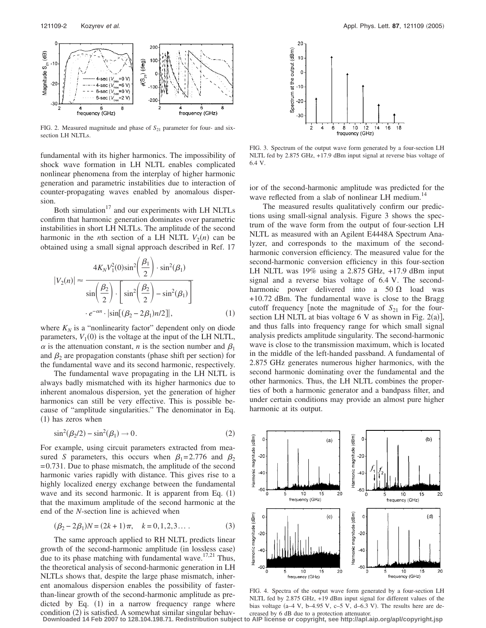

FIG. 2. Measured magnitude and phase of  $S_{21}$  parameter for four- and sixsection LH NLTLs.

fundamental with its higher harmonics. The impossibility of shock wave formation in LH NLTL enables complicated nonlinear phenomena from the interplay of higher harmonic generation and parametric instabilities due to interaction of counter-propagating waves enabled by anomalous dispersion.

Both simulation $17$  and our experiments with LH NLTLs confirm that harmonic generation dominates over parametric instabilities in short LH NLTLs. The amplitude of the second harmonic in the *n*th section of a LH NLTL  $V_2(n)$  can be obtained using a small signal approach described in Ref. 17

$$
|V_2(n)| \approx \frac{4K_N V_1^2(0)\sin^2\left(\frac{\beta_1}{2}\right) \cdot \sin^2(\beta_1)}{\sin\left(\frac{\beta_2}{2}\right) \cdot \left[\sin^2\left(\frac{\beta_2}{2}\right) - \sin^2(\beta_1)\right]}
$$

$$
\cdot e^{-\alpha n} \cdot |\sin[(\beta_2 - 2\beta_1)n/2]|, \tag{1}
$$

where  $K_N$  is a "nonlinearity factor" dependent only on diode parameters,  $V_1(0)$  is the voltage at the input of the LH NLTL,  $\alpha$  is the attenuation constant, *n* is the section number and  $\beta_1$ and  $\beta_2$  are propagation constants (phase shift per section) for the fundamental wave and its second harmonic, respectively.

The fundamental wave propagating in the LH NLTL is always badly mismatched with its higher harmonics due to inherent anomalous dispersion, yet the generation of higher harmonics can still be very effective. This is possible because of "amplitude singularities." The denominator in Eq. (1) has zeros when

$$
\sin^2(\beta_2/2) - \sin^2(\beta_1) \to 0. \tag{2}
$$

For example, using circuit parameters extracted from measured *S* parameters, this occurs when  $\beta_1 = 2.776$  and  $\beta_2$ = 0.731. Due to phase mismatch, the amplitude of the second harmonic varies rapidly with distance. This gives rise to a highly localized energy exchange between the fundamental wave and its second harmonic. It is apparent from Eq.  $(1)$ that the maximum amplitude of the second harmonic at the end of the *N*-section line is achieved when

$$
(\beta_2 - 2\beta_1)N = (2k + 1)\pi, \quad k = 0, 1, 2, 3... \tag{3}
$$

The same approach applied to RH NLTL predicts linear growth of the second-harmonic amplitude (in lossless case) due to its phase matching with fundamental wave. $17,21$  Thus, the theoretical analysis of second-harmonic generation in LH NLTLs shows that, despite the large phase mismatch, inherent anomalous dispersion enables the possibility of fasterthan-linear growth of the second-harmonic amplitude as predicted by Eq.  $(1)$  in a narrow frequency range where condition (2) is satisfied. A somewhat similar singular behav-



FIG. 3. Spectrum of the output wave form generated by a four-section LH NLTL fed by 2.875 GHz, +17.9 dBm input signal at reverse bias voltage of 6.4 V.

ior of the second-harmonic amplitude was predicted for the wave reflected from a slab of nonlinear LH medium.<sup>14</sup>

The measured results qualitatively confirm our predictions using small-signal analysis. Figure 3 shows the spectrum of the wave form from the output of four-section LH NLTL as measured with an Agilent E4448A Spectrum Analyzer, and corresponds to the maximum of the secondharmonic conversion efficiency. The measured value for the second-harmonic conversion efficiency in this four-section LH NLTL was 19% using a 2.875 GHz, +17.9 dBm input signal and a reverse bias voltage of 6.4 V. The secondharmonic power delivered into a  $50 \Omega$  load was +10.72 dBm. The fundamental wave is close to the Bragg cutoff frequency [note the magnitude of  $S_{21}$  for the foursection LH NLTL at bias voltage  $6 \text{ V}$  as shown in Fig. 2(a)], and thus falls into frequency range for which small signal analysis predicts amplitude singularity. The second-harmonic wave is close to the transmission maximum, which is located in the middle of the left-handed passband. A fundamental of 2.875 GHz generates numerous higher harmonics, with the second harmonic dominating over the fundamental and the other harmonics. Thus, the LH NLTL combines the properties of both a harmonic generator and a bandpass filter, and under certain conditions may provide an almost pure higher harmonic at its output.



FIG. 4. Spectra of the output wave form generated by a four-section LH NLTL fed by 2.875 GHz, +19 dBm input signal for different values of the bias voltage  $(a-4 V, b-4.95 V, c-5 V, d-6.3 V)$ . The results here are decreased by 6 dB due to a protection attenuator.

**Downloaded 14 Feb 2007 to 128.104.198.71. Redistribution subject to AIP license or copyright, see http://apl.aip.org/apl/copyright.jsp**